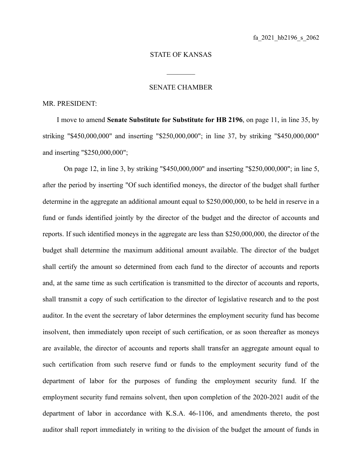## STATE OF KANSAS

 $\mathcal{L}_\text{max}$ 

## SENATE CHAMBER

## MR. PRESIDENT:

I move to amend **Senate Substitute for Substitute for HB 2196**, on page 11, in line 35, by striking "\$450,000,000" and inserting "\$250,000,000"; in line 37, by striking "\$450,000,000" and inserting "\$250,000,000";

On page 12, in line 3, by striking "\$450,000,000" and inserting "\$250,000,000"; in line 5, after the period by inserting "Of such identified moneys, the director of the budget shall further determine in the aggregate an additional amount equal to \$250,000,000, to be held in reserve in a fund or funds identified jointly by the director of the budget and the director of accounts and reports. If such identified moneys in the aggregate are less than \$250,000,000, the director of the budget shall determine the maximum additional amount available. The director of the budget shall certify the amount so determined from each fund to the director of accounts and reports and, at the same time as such certification is transmitted to the director of accounts and reports, shall transmit a copy of such certification to the director of legislative research and to the post auditor. In the event the secretary of labor determines the employment security fund has become insolvent, then immediately upon receipt of such certification, or as soon thereafter as moneys are available, the director of accounts and reports shall transfer an aggregate amount equal to such certification from such reserve fund or funds to the employment security fund of the department of labor for the purposes of funding the employment security fund. If the employment security fund remains solvent, then upon completion of the 2020-2021 audit of the department of labor in accordance with K.S.A. 46-1106, and amendments thereto, the post auditor shall report immediately in writing to the division of the budget the amount of funds in